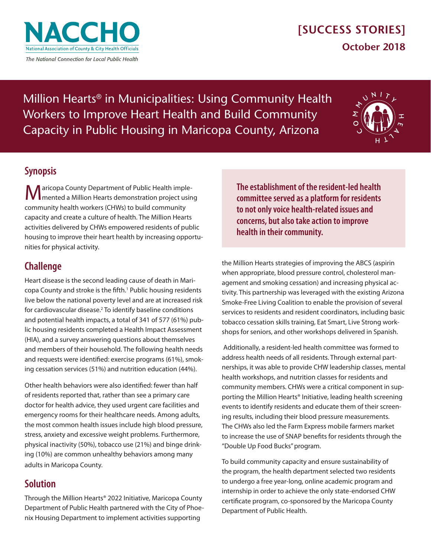

# **[SUCCESS STORIES] October 2018**

Million Hearts® in Municipalities: Using Community Health Workers to Improve Heart Health and Build Community Capacity in Public Housing in Maricopa County, Arizona



## **Synopsis**

aricopa County Department of Public Health implemented a Million Hearts demonstration project using community health workers (CHWs) to build community capacity and create a culture of health. The Million Hearts activities delivered by CHWs empowered residents of public housing to improve their heart health by increasing opportunities for physical activity.

### **Challenge**

Heart disease is the second leading cause of death in Maricopa County and stroke is the fifth.<sup>1</sup> Public housing residents live below the national poverty level and are at increased risk for cardiovascular disease.<sup>2</sup> To identify baseline conditions and potential health impacts, a total of 341 of 577 (61%) public housing residents completed a Health Impact Assessment (HIA), and a survey answering questions about themselves and members of their household. The following health needs and requests were identified: exercise programs (61%), smoking cessation services (51%) and nutrition education (44%).

Other health behaviors were also identified: fewer than half of residents reported that, rather than see a primary care doctor for health advice, they used urgent care facilities and emergency rooms for their healthcare needs. Among adults, the most common health issues include high blood pressure, stress, anxiety and excessive weight problems. Furthermore, physical inactivity (50%), tobacco use (21%) and binge drinking (10%) are common unhealthy behaviors among many adults in Maricopa County.

#### **Solution**

Through the Million Hearts® 2022 Initiative, Maricopa County Department of Public Health partnered with the City of Phoenix Housing Department to implement activities supporting

**The establishment of the resident-led health committee served as a platform for residents to not only voice health-related issues and concerns, but also take action to improve health in their community.**

the Million Hearts strategies of improving the ABCS (aspirin when appropriate, blood pressure control, cholesterol management and smoking cessation) and increasing physical activity. This partnership was leveraged with the existing Arizona Smoke-Free Living Coalition to enable the provision of several services to residents and resident coordinators, including basic tobacco cessation skills training, Eat Smart, Live Strong workshops for seniors, and other workshops delivered in Spanish.

 Additionally, a resident-led health committee was formed to address health needs of all residents. Through external partnerships, it was able to provide CHW leadership classes, mental health workshops, and nutrition classes for residents and community members. CHWs were a critical component in supporting the Million Hearts® Initiative, leading health screening events to identify residents and educate them of their screening results, including their blood pressure measurements. The CHWs also led the Farm Express mobile farmers market to increase the use of SNAP benefits for residents through the "Double Up Food Bucks" program.

To build community capacity and ensure sustainability of the program, the health department selected two residents to undergo a free year-long, online academic program and internship in order to achieve the only state-endorsed CHW certificate program, co-sponsored by the Maricopa County Department of Public Health.